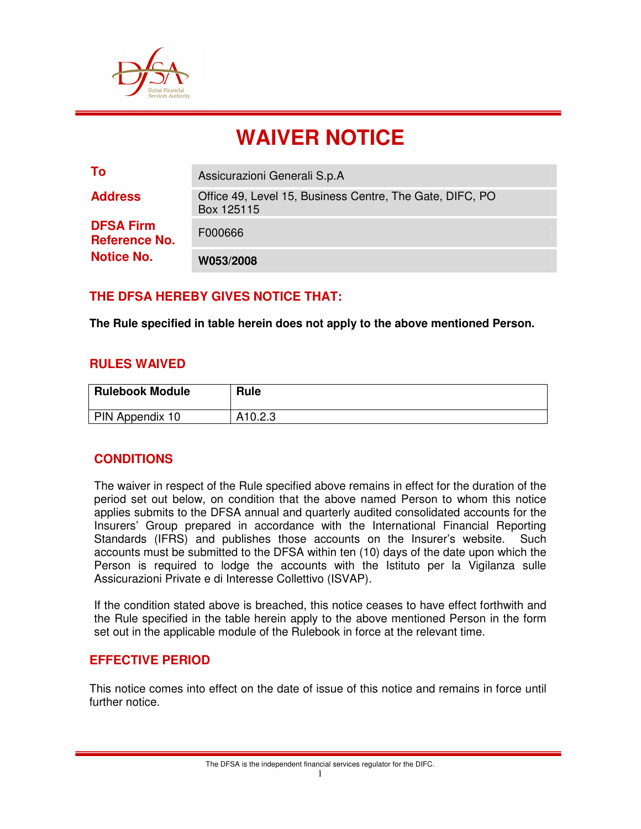

# **WAIVER NOTICE**

| To                                       | Assicurazioni Generali S.p.A                                           |
|------------------------------------------|------------------------------------------------------------------------|
| <b>Address</b>                           | Office 49, Level 15, Business Centre, The Gate, DIFC, PO<br>Box 125115 |
| <b>DFSA Firm</b><br><b>Reference No.</b> | F000666                                                                |
| <b>Notice No.</b>                        | W053/2008                                                              |

# **THE DFSA HEREBY GIVES NOTICE THAT:**

**The Rule specified in table herein does not apply to the above mentioned Person.** 

#### **RULES WAIVED**

| <b>Rulebook Module</b> | Rule    |
|------------------------|---------|
| PIN Appendix 10        | A10.2.3 |

## **CONDITIONS**

The waiver in respect of the Rule specified above remains in effect for the duration of the period set out below, on condition that the above named Person to whom this notice applies submits to the DFSA annual and quarterly audited consolidated accounts for the Insurers' Group prepared in accordance with the International Financial Reporting Standards (IFRS) and publishes those accounts on the Insurer's website. Such accounts must be submitted to the DFSA within ten (10) days of the date upon which the Person is required to lodge the accounts with the Istituto per la Vigilanza sulle Assicurazioni Private e di Interesse Collettivo (ISVAP).

If the condition stated above is breached, this notice ceases to have effect forthwith and the Rule specified in the table herein apply to the above mentioned Person in the form set out in the applicable module of the Rulebook in force at the relevant time.

#### **EFFECTIVE PERIOD**

This notice comes into effect on the date of issue of this notice and remains in force until further notice.